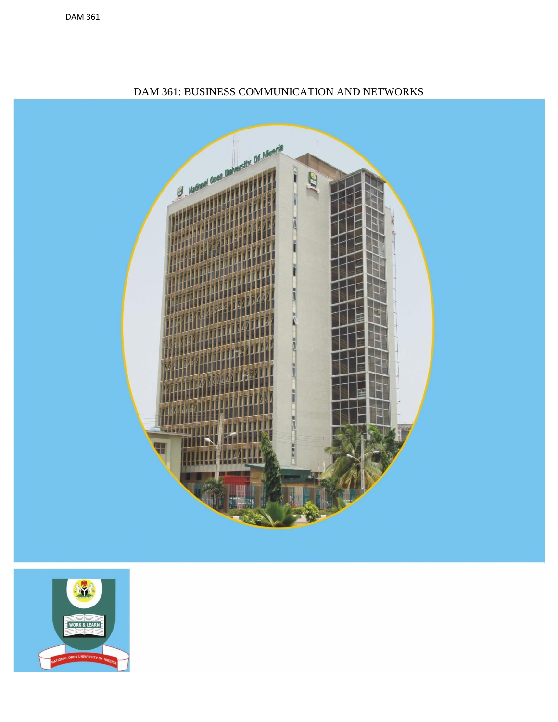

### DAM 361: BUSINESS COMMUNICATION AND NETWORKS

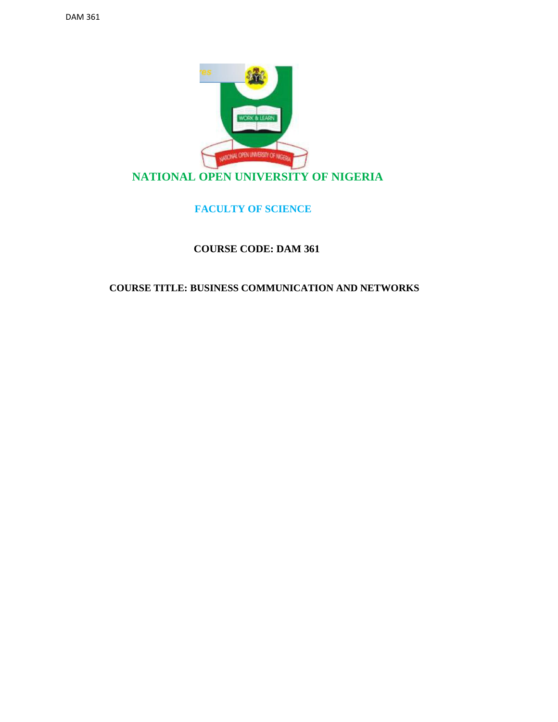

#### **FACULTY OF SCIENCE**

#### **COURSE CODE: DAM 361**

#### **COURSE TITLE: BUSINESS COMMUNICATION AND NETWORKS**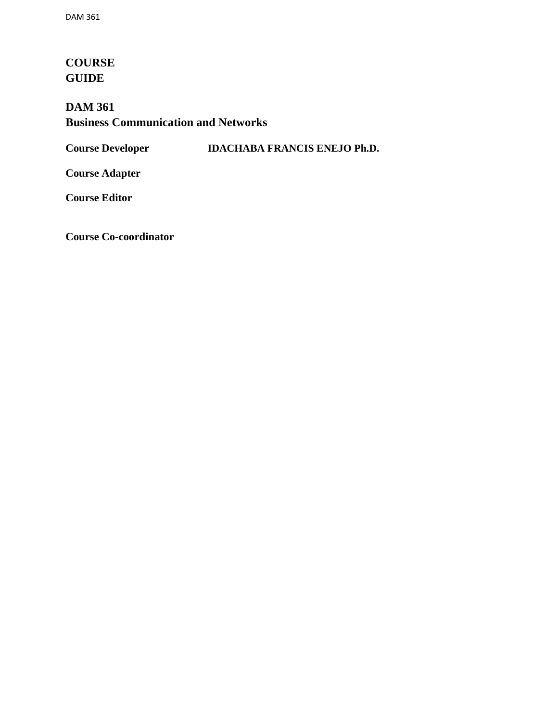## **[COURSE](http://www.pdfcomplete.com/cms/hppl/tabid/108/Default.aspx?r=q8b3uige22) [GUIDE](http://www.pdfcomplete.com/cms/hppl/tabid/108/Default.aspx?r=q8b3uige22)**

## **DAM 361 Business Communication and Networks**

**Course Developer IDACHABA FRANCIS ENEJO Ph.D.**

**Course Adapter**

**Course Editor**

**Course Co-coordinator**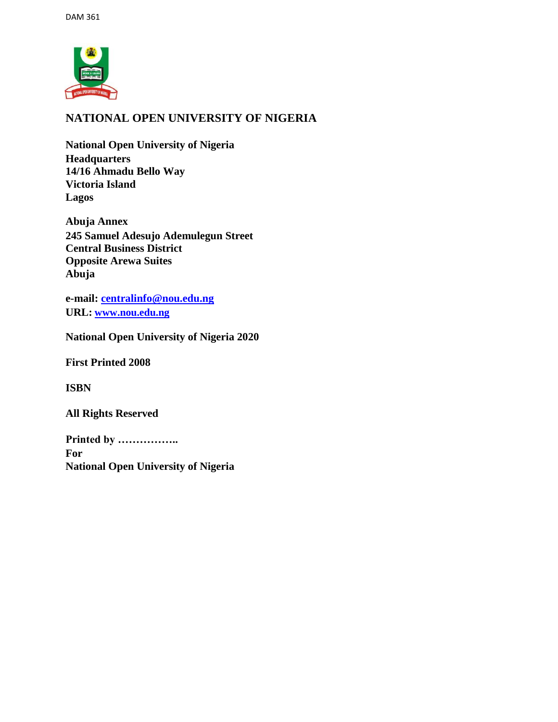

### **NATIONAL OPEN UNIVERSITY OF NIGERIA**

**National Open University of Nigeria Headquarters 14/16 Ahmadu Bello Way Victoria Island Lagos**

**Abuja Annex 245 Samuel Adesujo Ademulegun Street Central Business District Opposite Arewa Suites Abuja**

**e-mail: centralinfo@nou.edu.ng URL: www.nou.edu.ng**

**National Open University of Nigeria 2020**

**First Printed 2008**

**ISBN**

**All Rights Reserved**

**Printed by …………….. For National Open University of Nigeria**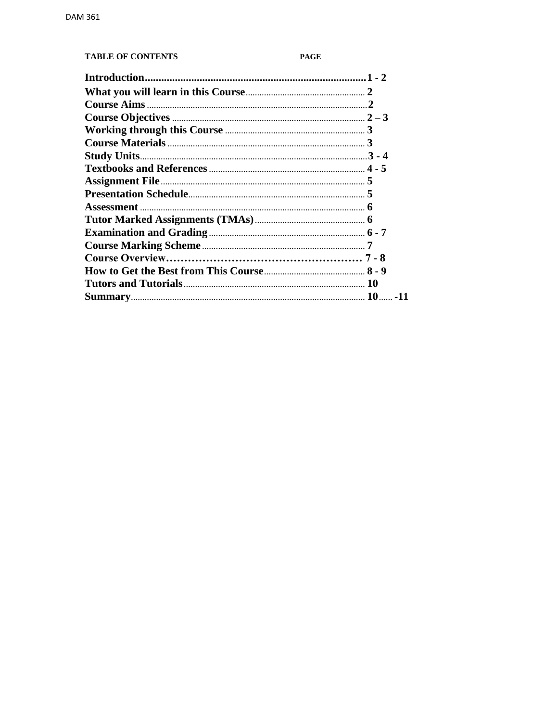#### **TABLE OF CONTENTS**

#### PAGE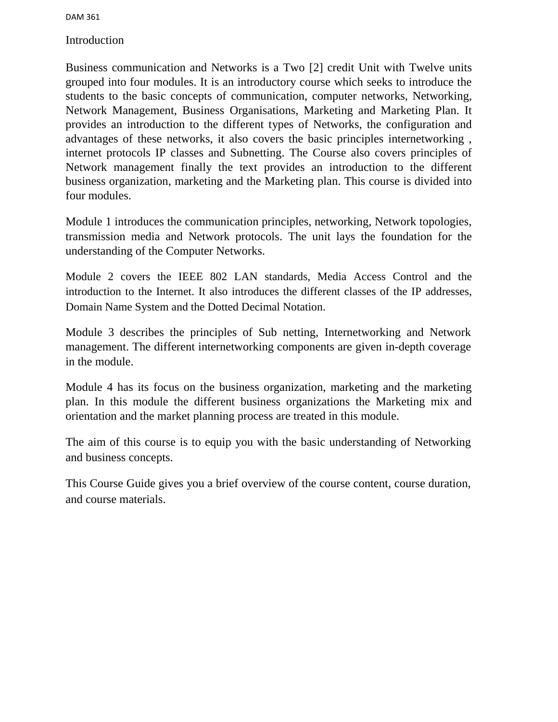[Introduction](http://www.pdfcomplete.com/cms/hppl/tabid/108/Default.aspx?r=q8b3uige22)

Business communication and Networks is a Two [2] credit Unit with Twelve units grouped into four modules. It is an introductory course which seeks to introduce the students to the basic concepts of communication, computer networks, Networking, Network Management, Business Organisations, Marketing and Marketing Plan. It provides an introduction to the different types of Networks, the configuration and advantages of these networks, it also covers the basic principles internetworking , internet protocols IP classes and Subnetting. The Course also covers principles of Network management finally the text provides an introduction to the different business organization, marketing and the Marketing plan. This course is divided into four modules.

Module 1 introduces the communication principles, networking, Network topologies, transmission media and Network protocols. The unit lays the foundation for the understanding of the Computer Networks.

Module 2 covers the IEEE 802 LAN standards, Media Access Control and the introduction to the Internet. It also introduces the different classes of the IP addresses, Domain Name System and the Dotted Decimal Notation.

Module 3 describes the principles of Sub netting, Internetworking and Network management. The different internetworking components are given in-depth coverage in the module.

Module 4 has its focus on the business organization, marketing and the marketing plan. In this module the different business organizations the Marketing mix and orientation and the market planning process are treated in this module.

The aim of this course is to equip you with the basic understanding of Networking and business concepts.

This Course Guide gives you a brief overview of the course content, course duration, and course materials.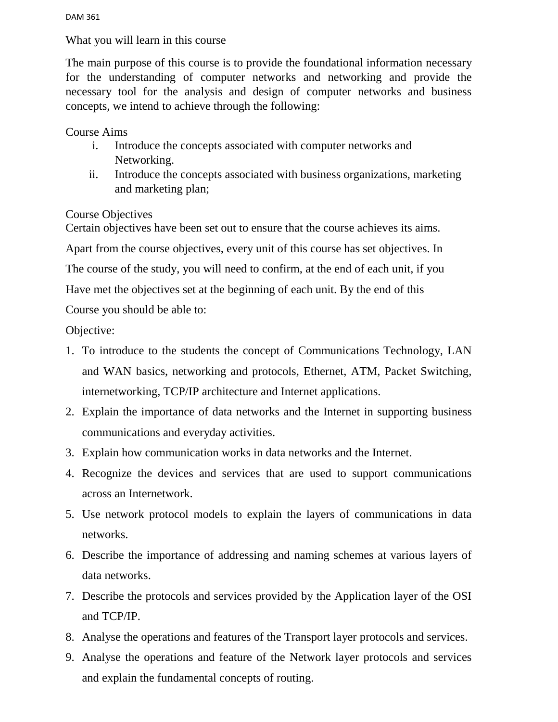What you will learn in this course

[The main purpose of this c](http://www.pdfcomplete.com/cms/hppl/tabid/108/Default.aspx?r=q8b3uige22)ourse is to provide the foundational information [necessary](http://www.pdfcomplete.com/cms/hppl/tabid/108/Default.aspx?r=q8b3uige22) [for the understanding o](http://www.pdfcomplete.com/cms/hppl/tabid/108/Default.aspx?r=q8b3uige22)f computer networks and networking and provide the necessary tool for the analysis and design of computer networks and business concepts, we intend to achieve through the following:

Course Aims

- i. Introduce the concepts associated with computer networks and Networking.
- ii. Introduce the concepts associated with business organizations, marketing and marketing plan;

#### Course Objectives

Certain objectives have been set out to ensure that the course achieves its aims.

Apart from the course objectives, every unit of this course has set objectives. In

The course of the study, you will need to confirm, at the end of each unit, if you

Have met the objectives set at the beginning of each unit. By the end of this

Course you should be able to:

Objective:

- 1. To introduce to the students the concept of Communications Technology, LAN and WAN basics, networking and protocols, Ethernet, ATM, Packet Switching, internetworking, TCP/IP architecture and Internet applications.
- 2. Explain the importance of data networks and the Internet in supporting business communications and everyday activities.
- 3. Explain how communication works in data networks and the Internet.
- 4. Recognize the devices and services that are used to support communications across an Internetwork.
- 5. Use network protocol models to explain the layers of communications in data networks.
- 6. Describe the importance of addressing and naming schemes at various layers of data networks.
- 7. Describe the protocols and services provided by the Application layer of the OSI and TCP/IP.
- 8. Analyse the operations and features of the Transport layer protocols and services.
- 9. Analyse the operations and feature of the Network layer protocols and services and explain the fundamental concepts of routing.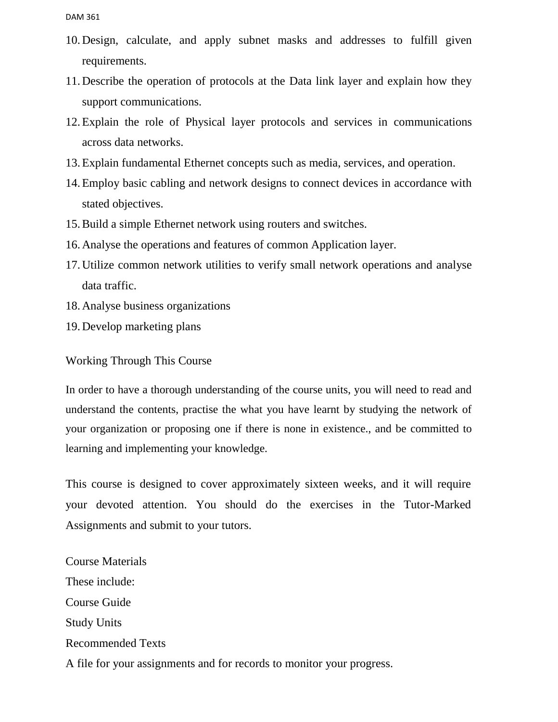- 10.Design, calculate, and apply subnet masks and addresses to fulfill given requirements.
- 11.Describe the operation of protocols at the Data link layer and explain how they support communications.
- 12.Explain the role of Physical layer protocols and services in [communications](http://www.pdfcomplete.com/cms/hppl/tabid/108/Default.aspx?r=q8b3uige22)  [across data n](http://www.pdfcomplete.com/cms/hppl/tabid/108/Default.aspx?r=q8b3uige22)etworks.
- 13[.Explain fundamental Ethernet c](http://www.pdfcomplete.com/cms/hppl/tabid/108/Default.aspx?r=q8b3uige22)oncepts such as media, services, and operation.
- 14.Employ basic cabling and network designs to connect devices in accordance with stated objectives.
- 15.Build a simple Ethernet network using routers and switches.
- 16.Analyse the operations and features of common Application layer.
- 17.Utilize common network utilities to verify small network operations and analyse data traffic.
- 18.Analyse business organizations
- 19.Develop marketing plans

Working Through This Course

In order to have a thorough understanding of the course units, you will need to read and understand the contents, practise the what you have learnt by studying the network of your organization or proposing one if there is none in existence., and be committed to learning and implementing your knowledge.

This course is designed to cover approximately sixteen weeks, and it will require your devoted attention. You should do the exercises in the Tutor-Marked Assignments and submit to your tutors.

Course Materials These include: Course Guide Study Units Recommended Texts A file for your assignments and for records to monitor your progress.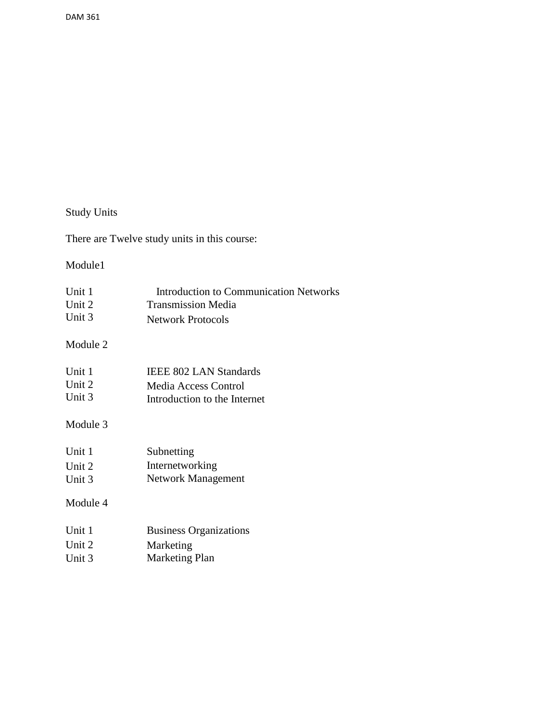# Study Units

There are Twelve study units in this course:

#### Module1

| Unit 1 | Introduction to Communication Networks |
|--------|----------------------------------------|
| Unit 2 | <b>Transmission Media</b>              |
| Unit 3 | <b>Network Protocols</b>               |
|        |                                        |

#### Module 2

| Unit 1   | <b>IEEE 802 LAN Standards</b> |
|----------|-------------------------------|
| Unit $2$ | Media Access Control          |
| Unit 3   | Introduction to the Internet  |

## Module 3

| Unit 1 | Subnetting         |
|--------|--------------------|
| Unit 2 | Internetworking    |
| Unit 3 | Network Management |

#### Module 4

| Unit 1 | <b>Business Organizations</b> |
|--------|-------------------------------|
| Unit 2 | Marketing                     |
| Unit 3 | Marketing Plan                |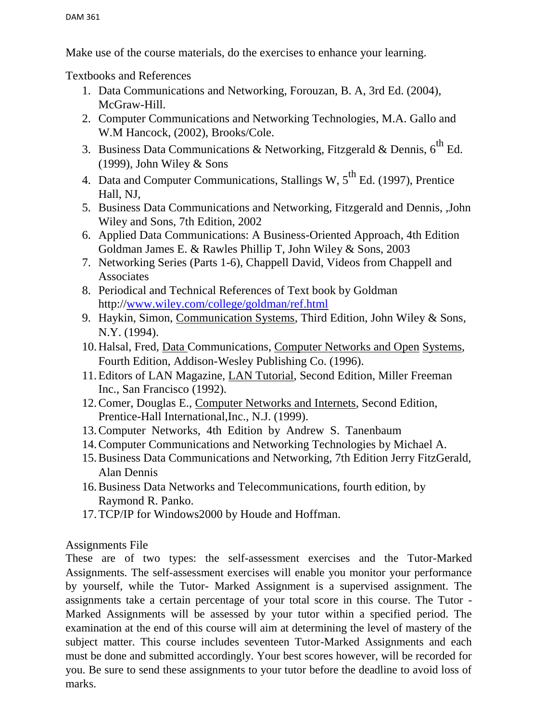Make use of the course materials, do the exercises to enhance your learning.

Textbooks and References

- 1. Data Communications and Networking, Forouzan, B. A, 3rd Ed. (2004), McGraw-Hill.
- 2. Computer Communications and Networking Technologies, M.A. Gallo and W.M Hancock, (2002), Brooks/Cole.
- 3. Business Data Communications & Networking, Fitzgerald & Dennis,  $6^{th}$  Ed.  $(1999)$ , John Wiley & Sons
- 4. Data and Computer Communications, Stallings W,  $5^{th}$  Ed. (1997), Prentice Hall, NJ,
- 5. Business Data Communications and Networking, Fitzgerald and Dennis, ,John Wiley and Sons, 7th Edition, 2002
- 6. Applied Data Communications: A Business-Oriented Approach, 4th Edition Goldman James E. & Rawles Phillip T, John Wiley & Sons, 2003
- 7. Networking Series (Parts 1-6), Chappell David, Videos from Chappell and Associates
- 8. Periodical and Technical References of Text book by Goldman http://www.wiley.com/college/goldman/ref.html
- 9. Haykin, Simon, Communication Systems, Third Edition, John Wiley & Sons, N.Y. (1994).
- 10[.Halsal, Fred, Data C](http://www.pdfcomplete.com/cms/hppl/tabid/108/Default.aspx?r=q8b3uige22)ommunications, Computer Networks and Open [Systems,](http://www.pdfcomplete.com/cms/hppl/tabid/108/Default.aspx?r=q8b3uige22)  [Fourth Edition, Addison-](http://www.pdfcomplete.com/cms/hppl/tabid/108/Default.aspx?r=q8b3uige22)Wesley Publishing Co. (1996).
- 11.Editors of LAN Magazine, LAN Tutorial, Second Edition, Miller Freeman Inc., San Francisco (1992).
- 12.Comer, Douglas E., Computer Networks and Internets, Second Edition, Prentice-Hall International,Inc., N.J. (1999).
- 13.Computer Networks, 4th Edition by Andrew S. Tanenbaum
- 14.Computer Communications and Networking Technologies by Michael A.
- 15.Business Data Communications and Networking, 7th Edition Jerry FitzGerald, Alan Dennis
- 16.Business Data Networks and Telecommunications, fourth edition, by Raymond R. Panko.
- 17.TCP/IP for Windows2000 by Houde and Hoffman.

### Assignments File

These are of two types: the self-assessment exercises and the Tutor-Marked Assignments. The self-assessment exercises will enable you monitor your performance by yourself, while the Tutor- Marked Assignment is a supervised assignment. The assignments take a certain percentage of your total score in this course. The Tutor - Marked Assignments will be assessed by your tutor within a specified period. The examination at the end of this course will aim at determining the level of mastery of the subject matter. This course includes seventeen Tutor-Marked Assignments and each must be done and submitted accordingly. Your best scores however, will be recorded for you. Be sure to send these assignments to your tutor before the deadline to avoid loss of marks.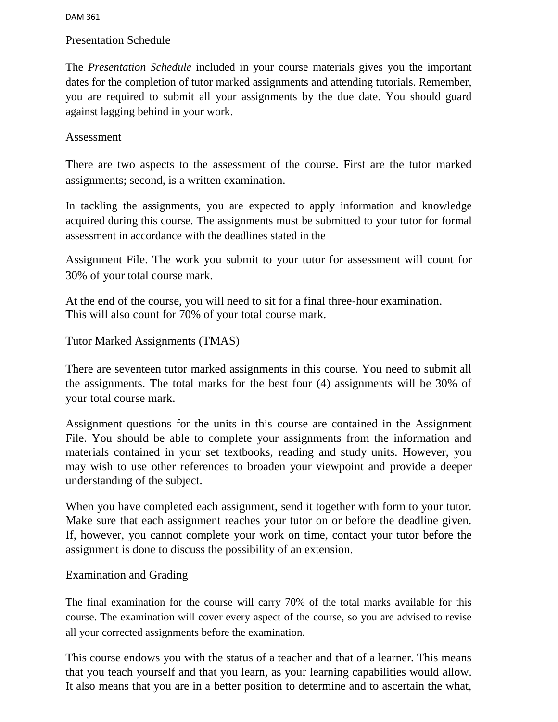#### Presentation Schedule

The *Presentation Schedule* included in your course materials gives you the important dates for the completion of tutor marked assignments and attending tutorials. Remember, you are required to submit all your assignments by the due date. You should guard against lagging behind in your work.

#### Assessment

There are two aspects to the assessment of the course. First are the tutor marked assignments; second, is a written examination.

In tackling the assignments, you are expected to apply information and knowledge acquired during this course. The assignments must be submitted to your tutor for formal assessment in accordance with the deadlines stated in the

[Assignment File. The work you s](http://www.pdfcomplete.com/cms/hppl/tabid/108/Default.aspx?r=q8b3uige22)ubmit to your tutor for assessment will count [for](http://www.pdfcomplete.com/cms/hppl/tabid/108/Default.aspx?r=q8b3uige22)  [30% of your total course m](http://www.pdfcomplete.com/cms/hppl/tabid/108/Default.aspx?r=q8b3uige22)ark.

At the end of the course, you will need to sit for a final three-hour examination. This will also count for 70% of your total course mark.

Tutor Marked Assignments (TMAS)

There are seventeen tutor marked assignments in this course. You need to submit all the assignments. The total marks for the best four (4) assignments will be 30% of your total course mark.

Assignment questions for the units in this course are contained in the Assignment File. You should be able to complete your assignments from the information and materials contained in your set textbooks, reading and study units. However, you may wish to use other references to broaden your viewpoint and provide a deeper understanding of the subject.

When you have completed each assignment, send it together with form to your tutor. Make sure that each assignment reaches your tutor on or before the deadline given. If, however, you cannot complete your work on time, contact your tutor before the assignment is done to discuss the possibility of an extension.

#### Examination and Grading

The final examination for the course will carry 70% of the total marks available for this course. The examination will cover every aspect of the course, so you are advised to revise all your corrected assignments before the examination.

This course endows you with the status of a teacher and that of a learner. This means that you teach yourself and that you learn, as your learning capabilities would allow. It also means that you are in a better position to determine and to ascertain the what,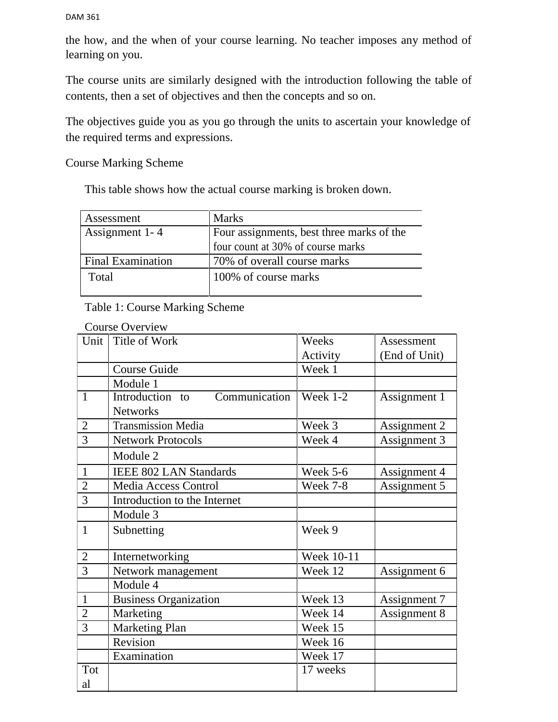the how, and the when of your course learning. No teacher imposes any method of learning on you.

The course units are similarly designed with the introduction following the table of contents, then a set of objectives and then the concepts and so on.

The objectives guide you as you go through the units to ascertain your knowledge of the required terms and expressions.

Course Marking Scheme

This table shows how the actual course marking is broken down.

| Assessment               | <b>Marks</b>                              |  |
|--------------------------|-------------------------------------------|--|
| Assignment 1-4           | Four assignments, best three marks of the |  |
|                          | four count at 30% of course marks         |  |
| <b>Final Examination</b> | 70% of overall course marks               |  |
| Total                    | 100% of course marks                      |  |

#### Table 1: Course Marking Scheme

|                | <b>Course Overview</b>           |            |               |
|----------------|----------------------------------|------------|---------------|
| Unit           | Title of Work                    | Weeks      | Assessment    |
|                |                                  | Activity   | (End of Unit) |
|                | <b>Course Guide</b>              | Week 1     |               |
|                | Module 1                         |            |               |
| $\mathbf{1}$   | Introduction to<br>Communication | Week 1-2   | Assignment 1  |
|                | <b>Networks</b>                  |            |               |
| $\overline{2}$ | <b>Transmission Media</b>        | Week 3     | Assignment 2  |
| 3              | <b>Network Protocols</b>         | Week 4     | Assignment 3  |
|                | Module 2                         |            |               |
| $\mathbf{1}$   | <b>IEEE 802 LAN Standards</b>    | Week 5-6   | Assignment 4  |
| $\overline{2}$ | <b>Media Access Control</b>      | Week 7-8   | Assignment 5  |
| 3              | Introduction to the Internet     |            |               |
|                | Module 3                         |            |               |
| $\mathbf{1}$   | Subnetting                       | Week 9     |               |
|                |                                  |            |               |
| $\overline{2}$ | Internetworking                  | Week 10-11 |               |
| 3              | Network management               | Week 12    | Assignment 6  |
|                | Module 4                         |            |               |
| $\mathbf{1}$   | <b>Business Organization</b>     | Week 13    | Assignment 7  |
| $\overline{2}$ | Marketing                        | Week 14    | Assignment 8  |
| 3              | Marketing Plan                   | Week 15    |               |
|                | Revision                         | Week 16    |               |
|                | Examination                      | Week 17    |               |
| Tot            |                                  | 17 weeks   |               |
| al             |                                  |            |               |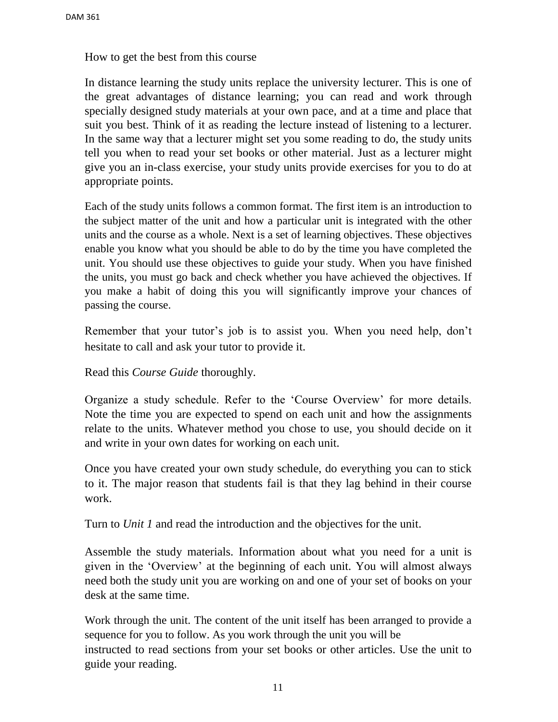How to get the best from this course

[In distance learning the study u](http://www.pdfcomplete.com/cms/hppl/tabid/108/Default.aspx?r=q8b3uige22)nits replace the university lecturer. This is one of [the great advantages of distance l](http://www.pdfcomplete.com/cms/hppl/tabid/108/Default.aspx?r=q8b3uige22)earning; you can read and work through specially designed study materials at your own pace, and at a time and place that suit you best. Think of it as reading the lecture instead of listening to a lecturer. In the same way that a lecturer might set you some reading to do, the study units tell you when to read your set books or other material. Just as a lecturer might give you an in-class exercise, your study units provide exercises for you to do at appropriate points.

Each of the study units follows a common format. The first item is an introduction to the subject matter of the unit and how a particular unit is integrated with the other units and the course as a whole. Next is a set of learning objectives. These objectives enable you know what you should be able to do by the time you have completed the unit. You should use these objectives to guide your study. When you have finished the units, you must go back and check whether you have achieved the objectives. If you make a habit of doing this you will significantly improve your chances of passing the course.

Remember that your tutor's job is to assist you. When you need help, don't hesitate to call and ask your tutor to provide it.

Read this *Course Guide* thoroughly.

Organize a study schedule. Refer to the 'Course Overview' for more details. Note the time you are expected to spend on each unit and how the assignments relate to the units. Whatever method you chose to use, you should decide on it and write in your own dates for working on each unit.

Once you have created your own study schedule, do everything you can to stick to it. The major reason that students fail is that they lag behind in their course work.

Turn to *Unit 1* and read the introduction and the objectives for the unit.

Assemble the study materials. Information about what you need for a unit is given in the 'Overview' at the beginning of each unit. You will almost always need both the study unit you are working on and one of your set of books on your desk at the same time.

Work through the unit. The content of the unit itself has been arranged to provide a sequence for you to follow. As you work through the unit you will be instructed to read sections from your set books or other articles. Use the unit to guide your reading.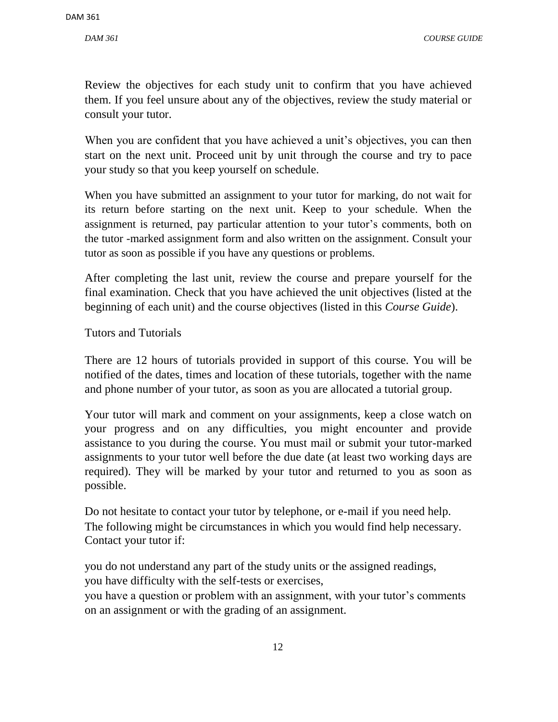*[DAM 361](http://www.pdfcomplete.com/cms/hppl/tabid/108/Default.aspx?r=q8b3uige22) COURSE GUIDE*

[Review the objectives for each s](http://www.pdfcomplete.com/cms/hppl/tabid/108/Default.aspx?r=q8b3uige22)tudy unit to confirm that you have achieved them. If you feel unsure about any of the objectives, review the study material or consult your tutor.

When you are confident that you have achieved a unit's objectives, you can then start on the next unit. Proceed unit by unit through the course and try to pace your study so that you keep yourself on schedule.

When you have submitted an assignment to your tutor for marking, do not wait for its return before starting on the next unit. Keep to your schedule. When the assignment is returned, pay particular attention to your tutor's comments, both on the tutor -marked assignment form and also written on the assignment. Consult your tutor as soon as possible if you have any questions or problems.

After completing the last unit, review the course and prepare yourself for the final examination. Check that you have achieved the unit objectives (listed at the beginning of each unit) and the course objectives (listed in this *Course Guide*).

Tutors and Tutorials

There are 12 hours of tutorials provided in support of this course. You will be notified of the dates, times and location of these tutorials, together with the name and phone number of your tutor, as soon as you are allocated a tutorial group.

Your tutor will mark and comment on your assignments, keep a close watch on your progress and on any difficulties, you might encounter and provide assistance to you during the course. You must mail or submit your tutor-marked assignments to your tutor well before the due date (at least two working days are required). They will be marked by your tutor and returned to you as soon as possible.

Do not hesitate to contact your tutor by telephone, or e-mail if you need help. The following might be circumstances in which you would find help necessary. Contact your tutor if:

you do not understand any part of the study units or the assigned readings, you have difficulty with the self-tests or exercises,

you have a question or problem with an assignment, with your tutor's comments on an assignment or with the grading of an assignment.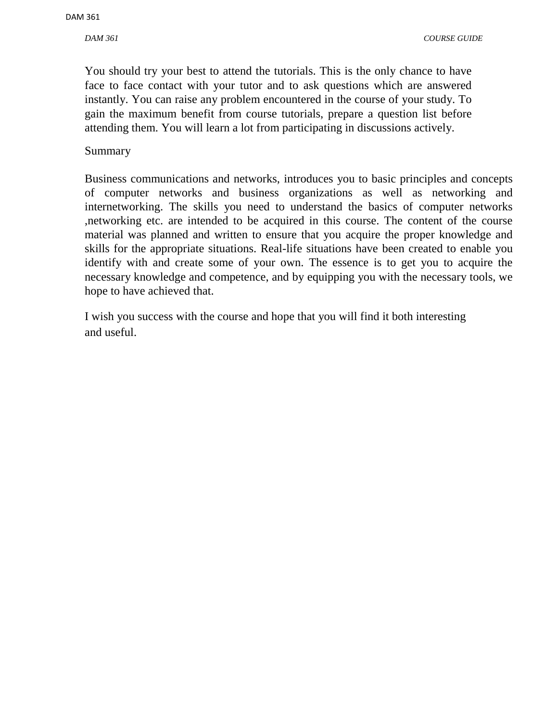*[DAM 361](http://www.pdfcomplete.com/cms/hppl/tabid/108/Default.aspx?r=q8b3uige22) COURSE GUIDE*

[You should try your best to a](http://www.pdfcomplete.com/cms/hppl/tabid/108/Default.aspx?r=q8b3uige22)ttend the tutorials. This is the only chance to have [face to face contact with your t](http://www.pdfcomplete.com/cms/hppl/tabid/108/Default.aspx?r=q8b3uige22)utor and to ask questions which are answered instantly. You can raise any problem encountered in the course of your study. To gain the maximum benefit from course tutorials, prepare a question list before attending them. You will learn a lot from participating in discussions actively.

#### Summary

Business communications and networks, introduces you to basic principles and concepts of computer networks and business organizations as well as networking and internetworking. The skills you need to understand the basics of computer networks ,networking etc. are intended to be acquired in this course. The content of the course material was planned and written to ensure that you acquire the proper knowledge and skills for the appropriate situations. Real-life situations have been created to enable you identify with and create some of your own. The essence is to get you to acquire the necessary knowledge and competence, and by equipping you with the necessary tools, we hope to have achieved that.

I wish you success with the course and hope that you will find it both interesting and useful.